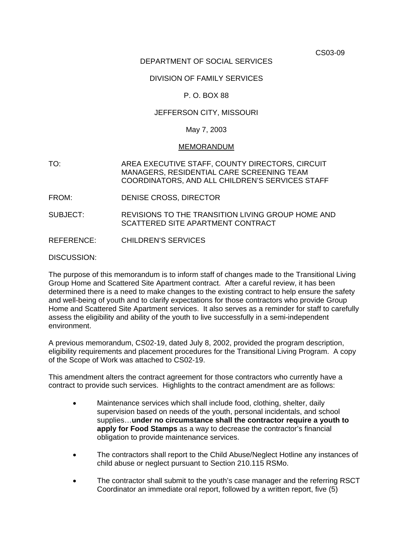CS03-09

# DEPARTMENT OF SOCIAL SERVICES

#### DIVISION OF FAMILY SERVICES

# P. O. BOX 88

# JEFFERSON CITY, MISSOURI

#### May 7, 2003

#### MEMORANDUM

- TO: AREA EXECUTIVE STAFF, COUNTY DIRECTORS, CIRCUIT MANAGERS, RESIDENTIAL CARE SCREENING TEAM COORDINATORS, AND ALL CHILDREN'S SERVICES STAFF
- FROM: DENISE CROSS, DIRECTOR
- SUBJECT: REVISIONS TO THE TRANSITION LIVING GROUP HOME AND SCATTERED SITE APARTMENT CONTRACT
- REFERENCE: CHILDREN'S SERVICES

DISCUSSION:

The purpose of this memorandum is to inform staff of changes made to the Transitional Living Group Home and Scattered Site Apartment contract. After a careful review, it has been determined there is a need to make changes to the existing contract to help ensure the safety and well-being of youth and to clarify expectations for those contractors who provide Group Home and Scattered Site Apartment services. It also serves as a reminder for staff to carefully assess the eligibility and ability of the youth to live successfully in a semi-independent environment.

A previous memorandum, CS02-19, dated July 8, 2002, provided the program description, eligibility requirements and placement procedures for the Transitional Living Program. A copy of the Scope of Work was attached to CS02-19.

This amendment alters the contract agreement for those contractors who currently have a contract to provide such services. Highlights to the contract amendment are as follows:

- Maintenance services which shall include food, clothing, shelter, daily supervision based on needs of the youth, personal incidentals, and school supplies…**under no circumstance shall the contractor require a youth to apply for Food Stamps** as a way to decrease the contractor's financial obligation to provide maintenance services.
- The contractors shall report to the Child Abuse/Neglect Hotline any instances of child abuse or neglect pursuant to Section 210.115 RSMo.
- The contractor shall submit to the youth's case manager and the referring RSCT Coordinator an immediate oral report, followed by a written report, five (5)